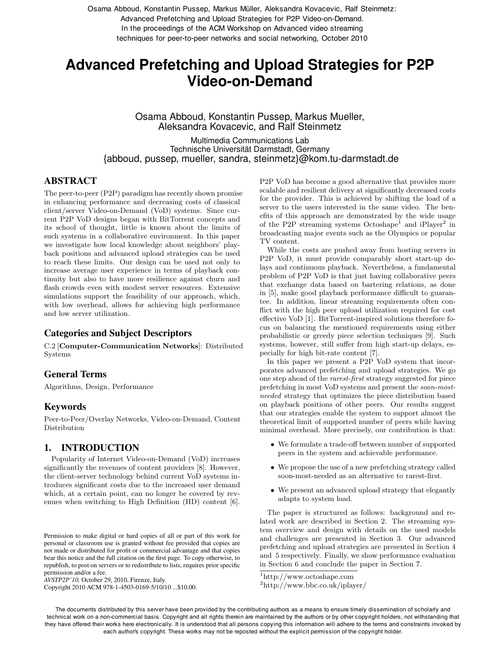Osama Abboud, Konstantin Pussep, Markus Müller, Aleksandra Kovacevic, Ralf Steinmetz: Advanced Prefetching and Upload Strategies for P2P Video-on-Demand. In the proceedings of the ACM Workshop on Advanced video streaming techniques for peer-to-peer networks and social networking, October 2010

# **Advanced Prefetching and Upload Strategies for P2P Video-on-Demand**

Osama Abboud, Konstantin Pussep, Markus Mueller, Aleksandra Kovacevic, and Ralf Steinmetz

Multimedia Communications Lab Technische Universität Darmstadt, Germany {abboud, pussep, mueller, sandra, steinmetz}@kom.tu-darmstadt.de

# ABSTRACT

The peer-to-peer (P2P) paradigm has recently shown promise in enhancing performance and decreasing costs of classical client/server Video-on-Demand (VoD) systems. Since current P2P VoD designs began with BitTorrent concepts and its school of thought, little is known about the limits of such systems in a collaborative environment. In this paper we investigate how local knowledge about neighbors' playback positions and advanced upload strategies can be used to reach these limits. Our design can be used not only to increase average user experience in terms of playback continuity but also to have more resilience against churn and flash crowds even with modest server resources. Extensive simulations support the feasibility of our approach, which, with low overhead, allows for achieving high performance and low server utilization.

# Categories and Subject Descriptors

C.2 [Computer-Communication Networks]: Distributed Systems

## General Terms

Algorithms, Design, Performance

## Keywords

Peer-to-Peer/Overlay Networks, Video-on-Demand, Content Distribution

## 1. INTRODUCTION

Popularity of Internet Video-on-Demand (VoD) increases significantly the revenues of content providers [8]. However, the client-server technology behind current VoD systems introduces significant costs due to the increased user demand which, at a certain point, can no longer be covered by revenues when switching to High Definition (HD) content [6].

Copyright 2010 ACM 978-1-4503-0169-5/10/10 ...\$10.00.

P2P VoD has become a good alternative that provides more scalable and resilient delivery at significantly decreased costs for the provider. This is achieved by shifting the load of a server to the users interested in the same video. The benefits of this approach are demonstrated by the wide usage of the P2P streaming systems  $Octoshape<sup>1</sup>$  and iPlayer<sup>2</sup> in broadcasting major events such as the Olympics or popular TV content.

While the costs are pushed away from hosting servers in P2P VoD, it must provide comparably short start-up delays and continuous playback. Nevertheless, a fundamental problem of P2P VoD is that just having collaborative peers that exchange data based on bartering relations, as done in [5], make good playback performance difficult to guarantee. In addition, linear streaming requirements often conflict with the high peer upload utilization required for cost effective VoD [1]. BitTorrent-inspired solutions therefore focus on balancing the mentioned requirements using either probabilistic or greedy piece selection techniques [9]. Such systems, however, still suffer from high start-up delays, especially for high bit-rate content [7].

In this paper we present a P2P VoD system that incorporates advanced prefetching and upload strategies. We go one step ahead of the *rarest-first* strategy suggested for piece prefetching in most VoD systems and present the *soon-mostneeded* strategy that optimizes the piece distribution based on playback positions of other peers. Our results suggest that our strategies enable the system to support almost the theoretical limit of supported number of peers while having minimal overhead. More precisely, our contribution is that:

- *•* We formulate a trade-off between number of supported peers in the system and achievable performance.
- We propose the use of a new prefetching strategy called soon-most-needed as an alternative to rarest-first.
- *•* We present an advanced upload strategy that elegantly adapts to system load.

The paper is structured as follows: background and related work are described in Section 2. The streaming system overview and design with details on the used models and challenges are presented in Section 3. Our advanced prefetching and upload strategies are presented in Section 4 and 5 respectively. Finally, we show performance evaluation in Section 6 and conclude the paper in Section 7.

The documents distributed by this server have been provided by the contributing authors as a means to ensure timely dissemination of scholarly and technical work on a non-commercial basis. Copyright and all rights therein are maintained by the authors or by other copyright holders, not withstanding that they have offered their works here electronically. It is understood that all persons copying this information will adhere to the terms and constraints invoked by each author's copyright. These works may not be reposted without the explicit permission of the copyright holder.

Permission to make digital or hard copies of all or part of this work for personal or classroom use is granted without fee provided that copies are not made or distributed for profit or commercial advantage and that copies bear this notice and the full citation on the first page. To copy otherwise, to republish, to post on servers or to redistribute to lists, requires prior specific permission and/or a fee.

*AVSTP2P'10,* October 29, 2010, Firenze, Italy.

<sup>1</sup>http://www.octoshape.com

<sup>2</sup>http://www.bbc.co.uk/iplayer/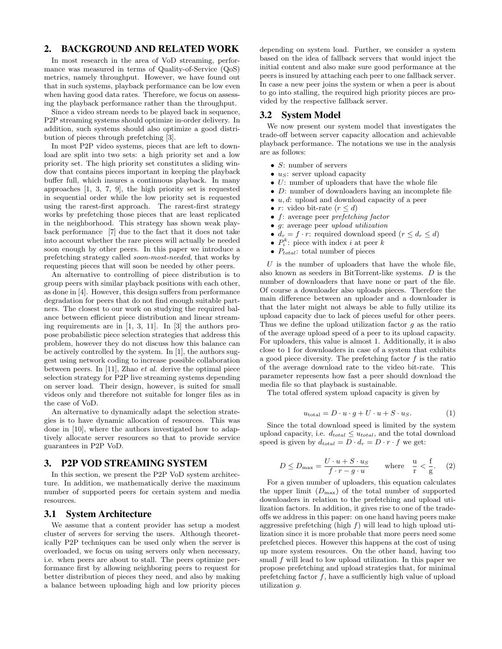# 2. BACKGROUND AND RELATED WORK

In most research in the area of VoD streaming, performance was measured in terms of Quality-of-Service (QoS) metrics, namely throughput. However, we have found out that in such systems, playback performance can be low even when having good data rates. Therefore, we focus on assessing the playback performance rather than the throughput.

Since a video stream needs to be played back in sequence, P2P streaming systems should optimize in-order delivery. In addition, such systems should also optimize a good distribution of pieces through prefetching [3].

In most P2P video systems, pieces that are left to download are split into two sets: a high priority set and a low priority set. The high priority set constitutes a sliding window that contains pieces important in keeping the playback buffer full, which insures a continuous playback. In many approaches [1, 3, 7, 9], the high priority set is requested in sequential order while the low priority set is requested using the rarest-first approach. The rarest-first strategy works by prefetching those pieces that are least replicated in the neighborhood. This strategy has shown weak playback performance [7] due to the fact that it does not take into account whether the rare pieces will actually be needed soon enough by other peers. In this paper we introduce a prefetching strategy called *soon-most-needed*, that works by requesting pieces that will soon be needed by other peers.

An alternative to controlling of piece distribution is to group peers with similar playback positions with each other, as done in [4]. However, this design suffers from performance degradation for peers that do not find enough suitable partners. The closest to our work on studying the required balance between efficient piece distribution and linear streaming requirements are in [1, 3, 11]. In [3] the authors propose probabilistic piece selection strategies that address this problem, however they do not discuss how this balance can be actively controlled by the system. In [1], the authors suggest using network coding to increase possible collaboration between peers. In [11], Zhao *et al.* derive the optimal piece selection strategy for P2P live streaming systems depending on server load. Their design, however, is suited for small videos only and therefore not suitable for longer files as in the case of VoD.

An alternative to dynamically adapt the selection strategies is to have dynamic allocation of resources. This was done in [10], where the authors investigated how to adaptively allocate server resources so that to provide service guarantees in P2P VoD.

#### 3. P2P VOD STREAMING SYSTEM

In this section, we present the P2P VoD system architecture. In addition, we mathematically derive the maximum number of supported peers for certain system and media resources.

#### 3.1 System Architecture

We assume that a content provider has setup a modest cluster of servers for serving the users. Although theoretically P2P techniques can be used only when the server is overloaded, we focus on using servers only when necessary, i.e. when peers are about to stall. The peers optimize performance first by allowing neighboring peers to request for better distribution of pieces they need, and also by making a balance between uploading high and low priority pieces depending on system load. Further, we consider a system based on the idea of fallback servers that would inject the initial content and also make sure good performance at the peers is insured by attaching each peer to one fallback server. In case a new peer joins the system or when a peer is about to go into stalling, the required high priority pieces are provided by the respective fallback server.

#### 3.2 System Model

We now present our system model that investigates the trade-off between server capacity allocation and achievable playback performance. The notations we use in the analysis are as follows:

- *• S*: number of servers
- *u<sub>S</sub>*: server upload capacity
- *• U*: number of uploaders that have the whole file
- *• D*: number of downloaders having an incomplete file
- *• u, d*: upload and download capacity of a peer
- *• r*: video bit-rate  $(r < d)$
- *• f*: average peer *prefetching factor*
- *• g*: average peer *upload utilization*
- $d_r = f \cdot r$ : required download speed  $(r \leq d_r \leq d)$
- $P_i^k$ : piece with index *i* at peer *k*
- *• Ptotal*: total number of pieces

*U* is the number of uploaders that have the whole file, also known as seeders in BitTorrent-like systems. *D* is the number of downloaders that have none or part of the file. Of course a downloader also uploads pieces. Therefore the main difference between an uploader and a downloader is that the later might not always be able to fully utilize its upload capacity due to lack of pieces useful for other peers. Thus we define the upload utilization factor *g* as the ratio of the average upload speed of a peer to its upload capacity. For uploaders, this value is almost 1. Additionally, it is also close to 1 for downloaders in case of a system that exhibits a good piece diversity. The prefetching factor *f* is the ratio of the average download rate to the video bit-rate. This parameter represents how fast a peer should download the media file so that playback is sustainable.

The total offered system upload capacity is given by

$$
u_{\text{total}} = D \cdot u \cdot g + U \cdot u + S \cdot u_S. \tag{1}
$$

Since the total download speed is limited by the system upload capacity, i.e.  $d_{total} \leq u_{total}$ , and the total download speed is given by  $d_{total} = D \cdot d_r = D \cdot r \cdot f$  we get:

$$
D \le D_{\max} = \frac{U \cdot u + S \cdot u_S}{f \cdot r - g \cdot u} \quad \text{where} \quad \frac{u}{r} < \frac{f}{g}. \tag{2}
$$

For a given number of uploaders, this equation calculates the upper limit  $(D_{\text{max}})$  of the total number of supported downloaders in relation to the prefetching and upload utilization factors. In addition, it gives rise to one of the tradeoffs we address in this paper: on one hand having peers make aggressive prefetching (high *f*) will lead to high upload utilization since it is more probable that more peers need some prefetched pieces. However this happens at the cost of using up more system resources. On the other hand, having too small *f* will lead to low upload utilization. In this paper we propose prefetching and upload strategies that, for minimal prefetching factor *f*, have a sufficiently high value of upload utilization *g*.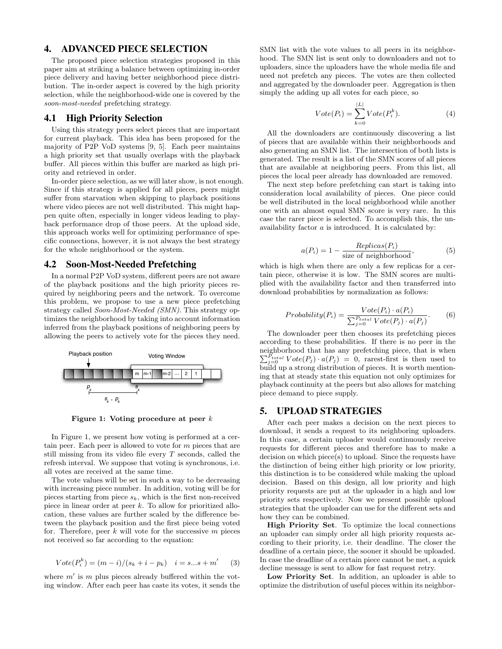## 4. ADVANCED PIECE SELECTION

The proposed piece selection strategies proposed in this paper aim at striking a balance between optimizing in-order piece delivery and having better neighborhood piece distribution. The in-order aspect is covered by the high priority selection, while the neighborhood-wide one is covered by the *soon-most-needed* prefetching strategy.

#### 4.1 High Priority Selection

Using this strategy peers select pieces that are important for current playback. This idea has been proposed for the majority of P2P VoD systems [9, 5]. Each peer maintains a high priority set that usually overlaps with the playback buffer. All pieces within this buffer are marked as high priority and retrieved in order.

In-order piece selection, as we will later show, is not enough. Since if this strategy is applied for all pieces, peers might suffer from starvation when skipping to playback positions where video pieces are not well distributed. This might happen quite often, especially in longer videos leading to playback performance drop of those peers. At the upload side, this approach works well for optimizing performance of specific connections, however, it is not always the best strategy for the whole neighborhood or the system.

#### 4.2 Soon-Most-Needed Prefetching

In a normal P2P VoD system, different peers are not aware of the playback positions and the high priority pieces required by neighboring peers and the network. To overcome this problem, we propose to use a new piece prefetching strategy called *Soon-Most-Needed (SMN)*. This strategy optimizes the neighborhood by taking into account information inferred from the playback positions of neighboring peers by allowing the peers to actively vote for the pieces they need.



Figure 1: Voting procedure at peer *k*

In Figure 1, we present how voting is performed at a certain peer. Each peer is allowed to vote for *m* pieces that are still missing from its video file every *T* seconds, called the refresh interval. We suppose that voting is synchronous, i.e. all votes are received at the same time.

The vote values will be set in such a way to be decreasing with increasing piece number. In addition, voting will be for pieces starting from piece *sk*, which is the first non-received piece in linear order at peer *k*. To allow for prioritized allocation, these values are further scaled by the difference between the playback position and the first piece being voted for. Therefore, peer *k* will vote for the successive *m* pieces not received so far according to the equation:

$$
Vote(P_i^k) = (m - i)/(s_k + i - p_k) \quad i = s...s + m' \tag{3}
$$

where  $m'$  is  $m$  plus pieces already buffered within the voting window. After each peer has caste its votes, it sends the SMN list with the vote values to all peers in its neighborhood. The SMN list is sent only to downloaders and not to uploaders, since the uploaders have the whole media file and need not prefetch any pieces. The votes are then collected and aggregated by the downloader peer. Aggregation is then simply the adding up all votes for each piece, so

$$
Vote(P_i) = \sum_{k=0}^{|L|} Vote(P_i^k).
$$
\n(4)

All the downloaders are continuously discovering a list of pieces that are available within their neighborhoods and also generating an SMN list. The intersection of both lists is generated. The result is a list of the SMN scores of all pieces that are available at neighboring peers. From this list, all pieces the local peer already has downloaded are removed.

The next step before prefetching can start is taking into consideration local availability of pieces. One piece could be well distributed in the local neighborhood while another one with an almost equal SMN score is very rare. In this case the rarer piece is selected. To accomplish this, the unavailability factor *a* is introduced. It is calculated by:

$$
a(P_i) = 1 - \frac{Replicas(P_i)}{\text{size of neighborhood}},
$$
\n<sup>(5)</sup>

which is high when there are only a few replicas for a certain piece, otherwise it is low. The SMN scores are multiplied with the availability factor and then transferred into download probabilities by normalization as follows:

$$
Probability(P_i) = \frac{Vote(P_i) \cdot a(P_i)}{\sum_{j=0}^{P_{total}} Vote(P_j) \cdot a(P_j)}.
$$
 (6)

The downloader peer then chooses its prefetching pieces according to these probabilities. If there is no peer in the neighborhood that has any prefetching piece, that is when  $\sum_{j=0}^{P_{total}} Vote(P_j) \cdot a(P_j) = 0$ , rarest-first is then used to build up a strong distribution of pieces. It is worth mentioning that at steady state this equation not only optimizes for playback continuity at the peers but also allows for matching piece demand to piece supply.

#### 5. UPLOAD STRATEGIES

After each peer makes a decision on the next pieces to download, it sends a request to its neighboring uploaders. In this case, a certain uploader would continuously receive requests for different pieces and therefore has to make a decision on which piece(s) to upload. Since the requests have the distinction of being either high priority or low priority, this distinction is to be considered while making the upload decision. Based on this design, all low priority and high priority requests are put at the uploader in a high and low priority sets respectively. Now we present possible upload strategies that the uploader can use for the different sets and how they can be combined.

High Priority Set. To optimize the local connections an uploader can simply order all high priority requests according to their priority, i.e. their deadline. The closer the deadline of a certain piece, the sooner it should be uploaded. In case the deadline of a certain piece cannot be met, a quick decline message is sent to allow for fast request retry.

Low Priority Set. In addition, an uploader is able to optimize the distribution of useful pieces within its neighbor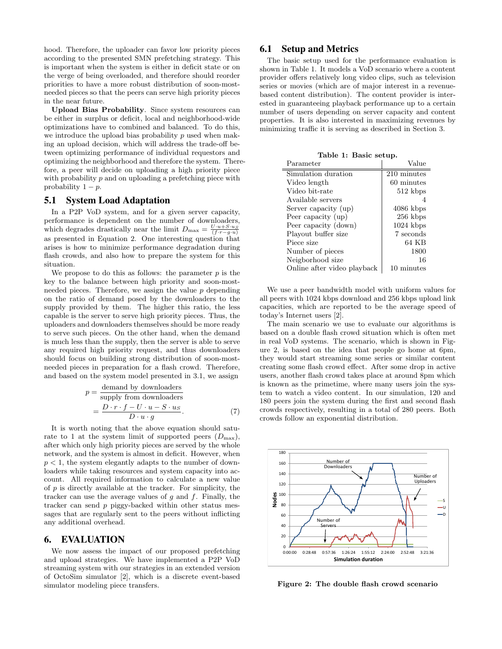hood. Therefore, the uploader can favor low priority pieces according to the presented SMN prefetching strategy. This is important when the system is either in deficit state or on the verge of being overloaded, and therefore should reorder priorities to have a more robust distribution of soon-mostneeded pieces so that the peers can serve high priority pieces in the near future.

Upload Bias Probability. Since system resources can be either in surplus or deficit, local and neighborhood-wide optimizations have to combined and balanced. To do this, we introduce the upload bias probability *p* used when making an upload decision, which will address the trade-off between optimizing performance of individual requestors and optimizing the neighborhood and therefore the system. Therefore, a peer will decide on uploading a high priority piece with probability *p* and on uploading a prefetching piece with probability  $1 - p$ .

#### 5.1 System Load Adaptation

In a P2P VoD system, and for a given server capacity, performance is dependent on the number of downloaders, which degrades drastically near the limit  $D_{\text{max}} = \frac{U \cdot u + S \cdot u_S}{(f \cdot r - g \cdot u)}$ as presented in Equation 2. One interesting question that arises is how to minimize performance degradation during flash crowds, and also how to prepare the system for this situation.

We propose to do this as follows: the parameter *p* is the key to the balance between high priority and soon-mostneeded pieces. Therefore, we assign the value *p* depending on the ratio of demand posed by the downloaders to the supply provided by them. The higher this ratio, the less capable is the server to serve high priority pieces. Thus, the uploaders and downloaders themselves should be more ready to serve such pieces. On the other hand, when the demand is much less than the supply, then the server is able to serve any required high priority request, and thus downloaders should focus on building strong distribution of soon-mostneeded pieces in preparation for a flash crowd. Therefore, and based on the system model presented in 3.1, we assign

$$
p = \frac{\text{demand by downloadsers}}{\text{supply from downloadsers}}= \frac{D \cdot r \cdot f - U \cdot u - S \cdot u_S}{D \cdot u \cdot g}.
$$
 (7)

It is worth noting that the above equation should saturate to 1 at the system limit of supported peers  $(D_{\text{max}})$ , after which only high priority pieces are served by the whole network, and the system is almost in deficit. However, when  $p < 1$ , the system elegantly adapts to the number of downloaders while taking resources and system capacity into account. All required information to calculate a new value of *p* is directly available at the tracker. For simplicity, the tracker can use the average values of *g* and *f*. Finally, the tracker can send *p* piggy-backed within other status messages that are regularly sent to the peers without inflicting any additional overhead.

#### 6. EVALUATION

We now assess the impact of our proposed prefetching and upload strategies. We have implemented a P2P VoD streaming system with our strategies in an extended version of OctoSim simulator [2], which is a discrete event-based simulator modeling piece transfers.

# 6.1 Setup and Metrics

The basic setup used for the performance evaluation is shown in Table 1. It models a VoD scenario where a content provider offers relatively long video clips, such as television series or movies (which are of major interest in a revenuebased content distribution). The content provider is interested in guaranteeing playback performance up to a certain number of users depending on server capacity and content properties. It is also interested in maximizing revenues by minimizing traffic it is serving as described in Section 3.

Table 1: Basic setup.

| Parameter                   | Value       |
|-----------------------------|-------------|
| Simulation duration         | 210 minutes |
| Video length                | 60 minutes  |
| Video bit-rate              | $512$ kbps  |
| Available servers           |             |
| Server capacity (up)        | $4086$ kbps |
| Peer capacity (up)          | $256$ kbps  |
| Peer capacity (down)        | $1024$ kbps |
| Playout buffer size         | 7 seconds   |
| Piece size                  | 64 KB       |
| Number of pieces            | 1800        |
| Neigborhood size            | 16          |
| Online after video playback | minutes     |

We use a peer bandwidth model with uniform values for all peers with 1024 kbps download and 256 kbps upload link capacities, which are reported to be the average speed of today's Internet users [2].

The main scenario we use to evaluate our algorithms is based on a double flash crowd situation which is often met in real VoD systems. The scenario, which is shown in Figure 2, is based on the idea that people go home at 6pm, they would start streaming some series or similar content creating some flash crowd effect. After some drop in active users, another flash crowd takes place at around 8pm which is known as the primetime, where many users join the system to watch a video content. In our simulation, 120 and 180 peers join the system during the first and second flash crowds respectively, resulting in a total of 280 peers. Both crowds follow an exponential distribution.



Figure 2: The double flash crowd scenario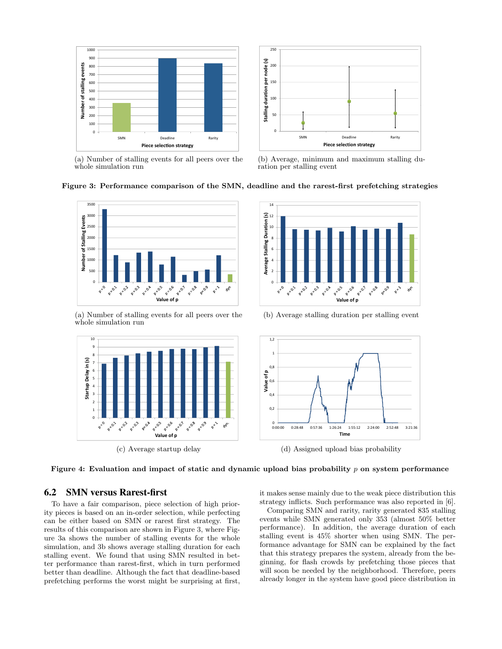

100  $150$ 200  $750$ duration per node (s)  $\Omega$ 50 SMN Deadline **Contact Deadline Contact Property** Stalling duration per node (s) Piece selection strategy

(a) Number of stalling events for all peers over the whole simulation run

(b) Average, minimum and maximum stalling duration per stalling event





(a) Number of stalling events for all peers over the (b) Average stalling duration per stal whole simulation run



 $(b)$  Average stalling duration per stalling events





## 6.2 SMN versus Rarest-first

simulation, and 3b shows average stalling duration for each formance advantage for SMN can be expl better than deadline. Although the fact that deadline-based will soon be needed by the neighborhood. p  $\mathbf{p}$  and  $\mathbf{p}$  and  $\mathbf{p}$  such a set  $\mathbf{p}$ can be either based on SMN or rarest first strategy. The events while SMN generated only ms the word might be displainty at mot, To have a fair comparison, piece selection of high prior-<br>strategy inflicts. Such performance was also results of this comparison are shown in Figure 3, where Fig-<br>performance). In addition, the average stalling event. We found that using SMN resulted in bet-<br>inning for flash events by prefetching prefetching performs the worst might be surprising at first, already longer in the system have good pie ity pieces is based on an in-order selection, while perfecting Comparing SMN and rarity, rari ure 3a shows the number of stalling events for the whole ter performance than rarest-first, which in turn performed

**st-first** it makes sense mainly due to the weak piece distribution this  $\frac{1}{2}$  is the static value of static probability. Such a sufficiency are also sense that in  $\frac{1}{2}$ strategy inflicts. Such performance was also reported in [6].

parameter selection, while perfecting comparing DMN and rative, rative generated only 353 (almost 50% better selection, while  $\frac{1}{2}$  events while SMN generated only 353 (almost 50% better parison are shown in rigure 5, where rightless of the per-term and the stalling event is 45% shorter when using SMN. The perthan rarest-first, which in turn performed ginning, for flash crowds by prefetching those pieces that  $\mu$  number of stalling events for the whole<br>the shows average stalling duration for each formance advantage for SMN can be explained by the fact inan rarest-mst, which in turn performed<br>ine. Although the fact that deadline-based will soon be needed by the neighborhood. Therefore, peers Comparing SMN and rarity, rarity generated 835 stalling performance). In addition, the average duration of each that this strategy prepares the system, already from the bealready longer in the system have good piece distribution in